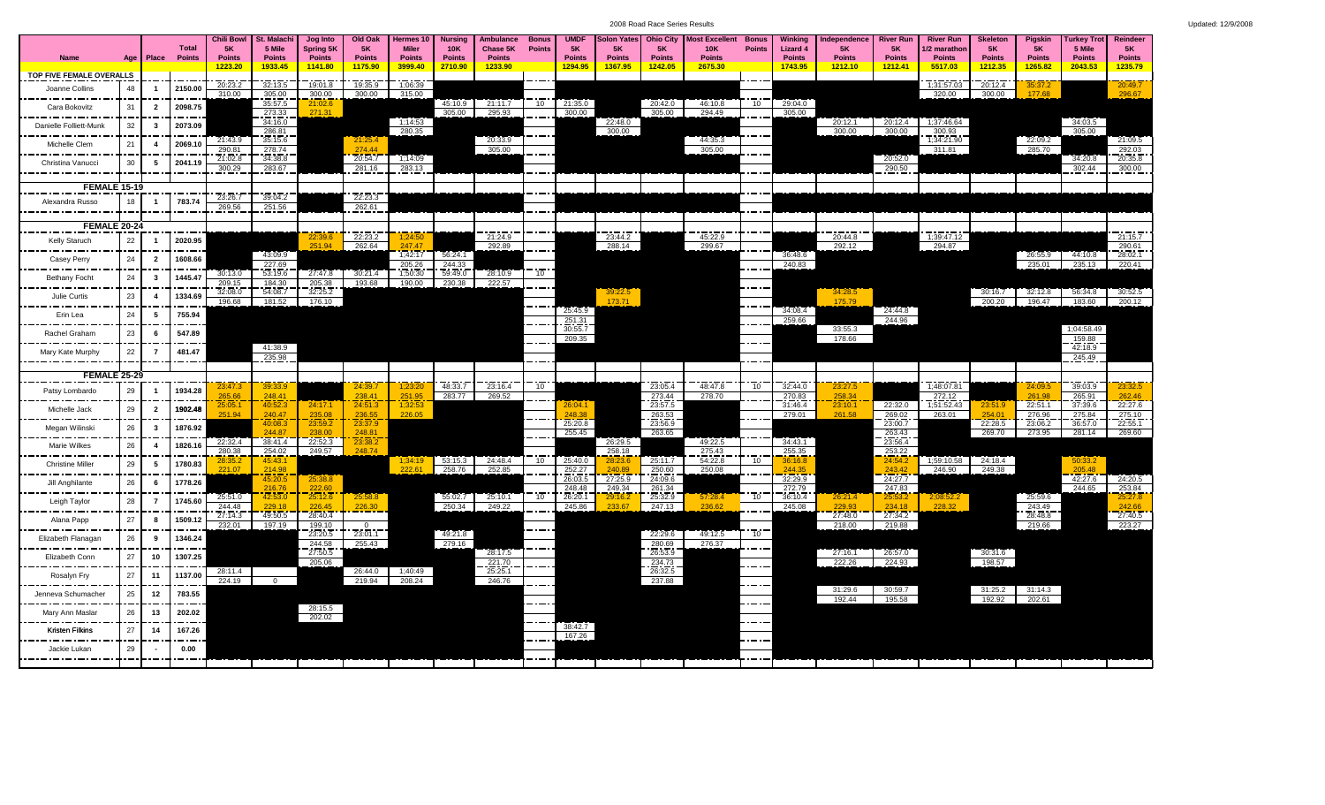2008 Road Race Series Results Updated: 12/9/2008

|  |  |  | Jpdated: 12/9/2008 |  |  |  |  |  |  |
|--|--|--|--------------------|--|--|--|--|--|--|
|--|--|--|--------------------|--|--|--|--|--|--|

|                                       |     |                         | <b>Total</b>        | <b>Chili Bowl</b><br><b>5K</b> | <b>St. Malach</b><br>5 Mile | Jog Into<br>Spring 5K    | Old Oak<br><b>5K</b>     | Hermes 10<br><b>Miler</b> | <b>Nursing</b><br><b>10K</b> | <b>Ambulance</b><br>Chase 5K | <b>Bonus</b><br><b>Points</b> | <b>UMDF</b><br><b>5K</b> | <b>Solon Yates</b><br><b>5K</b> | <b>Ohio City</b><br><b>5K</b>  | Most Excellent Bonus<br><b>10K</b> | <b>Points</b>   | <b>Winking</b><br>Lizard 4 | Independence<br><b>5K</b> | <b>River Run</b><br>5K   | <b>River Run</b><br>I/2 marathon | <b>Skeleton</b><br><b>5K</b> | <b>Piaskin</b><br><b>5K</b> | <b>Turkey Trot</b><br>5 Mile | <b>Reindeer</b><br><b>5K</b> |
|---------------------------------------|-----|-------------------------|---------------------|--------------------------------|-----------------------------|--------------------------|--------------------------|---------------------------|------------------------------|------------------------------|-------------------------------|--------------------------|---------------------------------|--------------------------------|------------------------------------|-----------------|----------------------------|---------------------------|--------------------------|----------------------------------|------------------------------|-----------------------------|------------------------------|------------------------------|
| Name                                  | Age |                         | <b>Place Points</b> | <b>Points</b><br>1223.20       | <b>Points</b><br>1933.45    | <b>Points</b><br>1141.80 | <b>Points</b><br>1175.90 | <b>Points</b><br>3999.40  | <b>Points</b><br>2710.90     | <b>Points</b><br>1233.90     |                               | <b>Points</b><br>1294.95 | <b>Points</b><br>1367.95        | <b>Points</b><br>1242.05       | <b>Points</b><br>2675.30           |                 | <b>Points</b><br>1743.95   | <b>Points</b><br>1212.10  | <b>Points</b><br>1212.41 | <b>Points</b><br>5517.03         | <b>Points</b><br>1212.35     | <b>Points</b><br>1265.82    | <b>Points</b><br>2043.53     | <b>Points</b><br>1235.79     |
| TOP FIVE FEMALE OVERALLS              |     |                         |                     |                                |                             |                          |                          |                           |                              |                              |                               |                          |                                 |                                |                                    |                 |                            |                           |                          |                                  |                              |                             |                              |                              |
| Joanne Collins                        | 48  | - 1                     | 2150.00             | 20:23.2<br>310.00              | 32:13.5<br>305.00           | 19:01.8<br>300.00        | 19:35.9<br>300.00        | 1;06:39<br>315.00         |                              |                              |                               |                          |                                 |                                |                                    |                 |                            |                           |                          | 1;31:57.03<br>320.00             | 20:12.4<br>300.00            | 35:37.2<br>177.68           |                              | 20:49.7<br>296.67            |
| -------------<br>Cara Bokovitz        | 31  | $\overline{2}$          | 2098.75             |                                | 35:57.5                     | 21:02.6                  |                          |                           | 45:10.9                      | 21:11.7                      | 10                            | 21:35.0                  |                                 | 20:42.0                        | 46:10.8                            | $10^{-}$        | 29:04.0                    |                           |                          |                                  |                              |                             |                              |                              |
| .                                     | 32  | -3                      |                     |                                | 273.33<br>34:16.0           | 271.31                   |                          | 1:14:53                   | 305.00                       | 295.93                       |                               | 300.00                   | 22:48.0                         | 305.00                         | 294.49                             |                 | 305.00                     | 20:12.1                   | 20:12.4                  | 1:37:46.64                       |                              |                             | 34:03.5                      |                              |
| Danielle Folliett-Munk                |     |                         | 2073.09             |                                | 286.81                      |                          |                          | 280.35                    |                              |                              |                               |                          | 300.00                          |                                |                                    |                 |                            | 300.00                    | 300.00                   | 300.93                           |                              |                             | 305.00                       |                              |
| Michelle Clem<br>------               | 21  | $\overline{4}$          | 2069.1              | 21:43.9<br>290.81              | 35:15.6<br>278.74           |                          | 21:25.4<br>274.44        |                           |                              | 20:33.9<br>305.00            |                               |                          |                                 |                                | 44:35.3<br>305.00                  |                 |                            |                           |                          | 1;34:21.90<br>311.81             |                              | 22:09.2<br>285.70           |                              | 21:09.5                      |
| Christina Vanucci                     | 30  | 5                       | 2041.1              | 21:02.8                        | 34:38.8                     |                          | 20:54.7                  | 1;14:09                   |                              |                              |                               |                          |                                 |                                |                                    |                 |                            |                           | 20:52.0                  |                                  |                              |                             | 34:20.8                      | $\frac{292.03}{20:35.8}$     |
|                                       |     |                         |                     | 300.29                         | 283.67                      |                          | 281.16                   | 283.13                    |                              |                              |                               |                          |                                 |                                |                                    |                 |                            |                           | 290.50                   |                                  |                              |                             | 302.44                       | 300.00                       |
| <b>FEMALE 15-19</b>                   |     |                         |                     |                                |                             |                          |                          |                           |                              |                              |                               |                          |                                 |                                |                                    |                 |                            |                           |                          |                                  |                              |                             |                              |                              |
| Alexandra Russo                       | 18  | - 1                     | 783.74              | 23:26.7<br>269.56              | 39:04.2<br>251.56           |                          | 22:23.3<br>262.61        |                           |                              |                              |                               |                          |                                 |                                |                                    |                 |                            |                           |                          |                                  |                              |                             |                              |                              |
| --------                              |     |                         |                     |                                |                             |                          |                          |                           |                              |                              |                               |                          |                                 |                                |                                    |                 |                            |                           |                          |                                  |                              |                             |                              |                              |
| <b>FEMALE 20-24</b>                   |     |                         |                     |                                |                             | 22:39.6                  | 22:23.2                  | 1:24:50                   |                              | 21:24.9                      |                               |                          | 23:44.2                         |                                | 45:22.9                            |                 |                            | 20:44.8                   |                          | 1:39:47.12                       |                              |                             |                              | 21:15.7                      |
| Kelly Staruch                         | 22  |                         | 2020.95             |                                |                             | 251.94                   | 262.64                   | 247.47                    |                              | 292.89                       |                               |                          | 288.14                          |                                | 299.67                             |                 |                            | 292.12                    |                          | 294.87                           |                              |                             |                              | 290.61                       |
| Casey Perry                           | 24  | $\overline{\mathbf{2}}$ | 1608.66             |                                | 43:09.9<br>227.69           |                          |                          | 1,42:17<br>205.26         | 56:24.1<br>244.33            |                              |                               |                          |                                 |                                |                                    |                 | 36:48.6<br>240.83          |                           |                          |                                  |                              | 26:55.9<br>235.01           | 44:10.8<br>235.13            | 28:02.1<br>220.41            |
| <b>Bethany Focht</b>                  | 24  | $\mathbf{3}$            | 1445.47             | 30:13.0                        | 53:19.6                     | 27:47.8                  | 30:21.4                  | 1;50:30                   | 59:49.0                      | 28:10.9                      | 10                            |                          |                                 |                                |                                    |                 |                            |                           |                          |                                  |                              |                             |                              |                              |
|                                       |     |                         |                     | 209.15<br>32:08.0              | 184.30<br>54:08.7           | 205.38<br>32:25.2        | 193.68                   | 190.00                    | 230.38                       | 222.57                       |                               |                          | 39:22.5                         |                                |                                    |                 |                            | 34:28.5                   |                          |                                  | 30:16.7                      | 32:12.8                     | 56:34.8                      | 30:52.5                      |
| Julie Curtis                          | 23  | $\overline{4}$          | 1334.69             | 196.68                         | 181.52                      | 176.10                   |                          |                           |                              |                              |                               |                          | 17371                           |                                |                                    |                 |                            | 175 79                    |                          |                                  | 200.20                       | 196.47                      | 183.60                       | 200.12                       |
| Erin Lea                              | 24  | 5                       | 755.94              |                                |                             |                          |                          |                           |                              |                              |                               | 25:45.9<br>251.31        |                                 |                                |                                    |                 | 34:08.4<br>259.66          |                           | 24:44.8<br>244.96        |                                  |                              |                             |                              |                              |
| ---------<br>Rachel Graham            | 23  | 6                       | ----<br>547.89      |                                |                             |                          |                          |                           |                              |                              |                               | 30:55.7                  |                                 |                                |                                    |                 |                            | 33:55.3                   |                          |                                  |                              |                             | 1;04:58.49                   |                              |
|                                       |     | $\overline{7}$          |                     |                                | 41:38.9                     |                          |                          |                           |                              |                              |                               | 209.35                   |                                 |                                |                                    |                 |                            | 178.66                    |                          |                                  |                              |                             | 159.88<br>42:18.9            |                              |
| Mary Kate Murphy<br>.                 | 22  |                         | 481.47              |                                | 235.98                      |                          |                          |                           |                              |                              |                               |                          |                                 |                                |                                    |                 |                            |                           |                          |                                  |                              |                             | 245.49                       |                              |
| <b>FEMALE 25-29</b>                   |     |                         |                     |                                |                             |                          |                          |                           |                              |                              |                               |                          |                                 |                                |                                    |                 |                            |                           |                          |                                  |                              |                             |                              |                              |
| Patsy Lombardo                        | 29  | - 1                     | 1934.28             | 23:47.<br>265.66               | 39:33.9                     |                          | 24:39.7                  | 1;23:20                   | 48:33.7                      | 23:16.4                      | $10^{-}$                      |                          |                                 | 23:05.4                        | 48:47.8                            | 10              | 32:44.0                    | 23:27.5                   |                          | 1;48:07.81                       |                              | 24:09.<br>261.98            | 39:03.9                      | 23:32.5                      |
| Michelle Jack                         | 29  | $\overline{2}$          | 1902.48             | 25:05.                         | 248.41<br>40:52.            | 24:17.1                  | 238.41<br>24:51.3        | 251.95<br>1:32:5          | 283.77                       | 269.52                       |                               | 26:04.1                  |                                 | $\frac{273.44}{23.57.5}$       | 278.70                             |                 | 270.83<br>31:46.4          | 258.34<br>23:10.1         | 22:32.0                  | 272.12<br>1;51:52.43             | 23:51.9                      | 22:51.1                     | 265.91<br>37:39.6            | 262.46<br>22:27.6            |
|                                       |     |                         |                     | 251.94                         | 240.47<br>40:08.3           | 235.08<br>23:59.2        | 236.55<br>23:37.9        | 226.05                    |                              |                              |                               | 248.38<br>25:20.8        |                                 | $263.\overline{53}$<br>23:56.9 |                                    |                 | 279.01                     | 261.58                    | 269.02<br>23:00.7        | 263.01                           | 254.01                       | 276.96<br>23:06.2           | 275.84<br>36:57.0            | 275.10<br>22:55.1            |
| Megan Wilinski<br>---------           | 26  | $\mathbf{3}$            | 1876.92             |                                | 244.87                      | 238.00                   | 248.81                   |                           |                              |                              |                               | 255.45                   |                                 | 263.65                         |                                    |                 |                            |                           | 263.43                   |                                  | 22:28.5<br>269.70            | 273.95                      | 281.14                       | 269.60                       |
| Marie Wilkes                          | 26  | $\overline{4}$          | 1826.1              | 22:32.4<br>280.38              | 38:41.4<br>254.02           | 22:52.3<br>249.57        | 23:38.2<br>248.74        |                           |                              |                              |                               |                          | 26:29.5<br>258.18               |                                | 49:22.5<br>275.43                  |                 | 34:43.1<br>255.35          |                           | 23:56.4<br>253.22        |                                  |                              |                             |                              |                              |
| ----------<br><b>Christine Miller</b> | 29  | 5                       | 1780.83             | 28:35.                         | 45:43.                      |                          |                          | 1;34:1!                   | 53:15.3                      | 24:48.4                      | 10                            | 25:40.0                  | 28:23.6                         | 25:11.7                        | 54:22.8                            | $10^{-}$        | 36:16.8                    |                           | 24:54.2                  | 1;59:10.58                       | 24:18.4                      |                             | 50:33.2                      |                              |
| ---------                             |     |                         |                     | 221.07                         | 214.98<br>45:20.5           | 25:38.8                  |                          | 222.61                    | 258.76                       | 252.85                       |                               | 252.27<br>26:03.5        | 240.89<br>27:25.9               | 250.60<br>24:09.6              | 250.08                             |                 | 244.35<br>32:29.9          |                           | 243.42<br>24:27.7        | 246.90                           | 249.38                       |                             | 205.48<br>42:27.6            | 24:20.5                      |
| Jill Anghilante                       | 26  | 6                       | 1778.26             |                                | 216.76                      | 222.60                   |                          |                           |                              |                              |                               | 248.48                   | 249.34                          | 261.34                         |                                    |                 | 272.79                     |                           | 247.83                   |                                  |                              |                             | 244.65                       | 253.84                       |
| Leigh Taylor                          | 28  | $\overline{7}$          | 1745.60             | 25:51.0<br>244.48              | 229.18                      | 25:12.6<br>226.45        | 25:58.8<br>226.30        |                           | 55:02.7<br>250.34            | 25:10.1<br>249.22            | 10                            | 26:20.1<br>245.86        | 29:16.2<br>233.67               | 25:32.9<br>247.13              | 57:28.4<br>236.62                  | 10              | 36:10.4<br>245.08          | 26:21.4<br>229.93         | 25:53.2<br>234.18        | 228.32                           |                              | 25:59.6<br>243.49           |                              | 25:27.8<br>242.66            |
| Alana Papp                            | 27  | 8                       | 1509.12             | 27:14.3                        | 49:50.5                     | 28:40.4                  |                          |                           |                              |                              |                               |                          |                                 |                                |                                    |                 |                            | 27:48.0                   | 27:34.2                  |                                  |                              | 28:48.8                     |                              | 27:40.5                      |
| .                                     |     |                         |                     | 232.01                         | 197.19                      | 199.10<br>23:20.5        | $\frac{0}{23:01.1}$      |                           | 49:21.8                      |                              |                               |                          |                                 | 22:29.6                        | 49:12.5                            | 10 <sup>1</sup> |                            | 218.00                    | 219.88                   |                                  |                              | 219.66                      |                              | 223.27                       |
| Elizabeth Flanagan                    | 26  | 9                       | 1346.24             |                                |                             | 244.58                   | 255.43                   |                           | 279.16                       |                              |                               |                          |                                 | 280.69                         | 276.37                             |                 |                            |                           |                          |                                  |                              |                             |                              |                              |
| Elizabeth Conn                        | 27  | 10                      | 1307.25             |                                |                             | 27:50.5<br>205.06        |                          |                           |                              | 28:17.5<br>221.70            |                               |                          |                                 | 26:53.9                        |                                    |                 |                            | 27:16.1<br>222.26         | 26:57.0<br>224.93        |                                  | 30:31.6<br>198.57            |                             |                              |                              |
| _________<br>Rosalyn Fry              | 27  | 11                      | 1137.00             | 28:11.4                        |                             |                          | 26:44.0                  | 1;40:49                   |                              | 25:25.1                      |                               |                          |                                 | $\frac{234.73}{26:32.5}$       |                                    |                 |                            |                           |                          |                                  |                              |                             |                              |                              |
| Jenneva Schumacher                    | 25  | 12                      | 783.55              | 224.19                         |                             |                          | 219.94                   | 208.24                    |                              | 246.76                       |                               |                          |                                 | 237.88                         |                                    |                 |                            | 31:29.6                   | 30:59.7                  |                                  | 31:25.2                      | 31:14.3                     |                              |                              |
|                                       |     |                         |                     |                                |                             | 28:15.5                  |                          |                           |                              |                              |                               |                          |                                 |                                |                                    |                 |                            | 192.44                    | 195.58                   |                                  | 192.92                       | 202.61                      |                              |                              |
| Mary Ann Maslar                       | 26  | 13                      | 202.02<br>----      |                                |                             | 202.02                   |                          |                           |                              |                              |                               |                          |                                 |                                |                                    |                 |                            |                           |                          |                                  |                              |                             |                              |                              |
| <b>Kristen Filkins</b>                | 27  | 14                      | 167.26              |                                |                             |                          |                          |                           |                              |                              |                               | 38:42.7<br>167.26        |                                 |                                |                                    |                 |                            |                           |                          |                                  |                              |                             |                              |                              |
| Jackie Lukan                          | 29  |                         | 0.00                |                                |                             |                          |                          |                           |                              |                              |                               |                          |                                 |                                |                                    |                 |                            |                           |                          |                                  |                              |                             |                              |                              |
|                                       |     |                         |                     |                                |                             |                          |                          |                           |                              |                              |                               |                          |                                 |                                |                                    |                 |                            |                           |                          |                                  |                              |                             |                              |                              |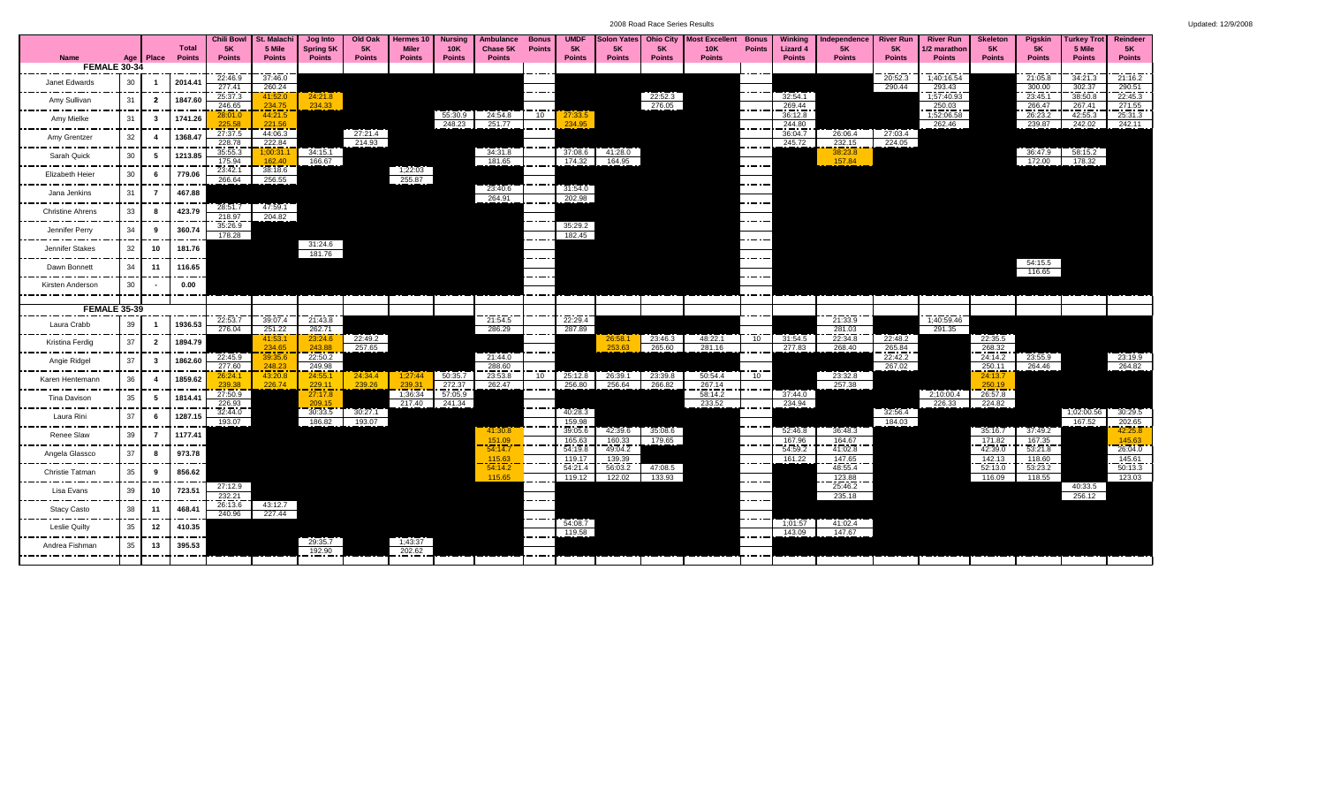|  |  |  |  |  |  |  |  | Updated: 12/9/2008 |  |
|--|--|--|--|--|--|--|--|--------------------|--|
|--|--|--|--|--|--|--|--|--------------------|--|

|                         |                     |                         |         | <b>Chili Bowl</b>        | St. Malachi       | Jog Into          | Old Oak       | Hermes 10         | Nursina           | Ambulance                                               | <b>Bonus</b>  | <b>UMDF</b>              | <b>Solon Yates</b> | <b>Ohio City</b> | Most Excellent    | <b>Bonus</b>  | Winking           | Independence              | <b>River Run</b>  | <b>River Run</b>     | <b>Skeleton</b>   | <b>Pigskin</b>    | Turkey Trot       | Reindeer          |
|-------------------------|---------------------|-------------------------|---------|--------------------------|-------------------|-------------------|---------------|-------------------|-------------------|---------------------------------------------------------|---------------|--------------------------|--------------------|------------------|-------------------|---------------|-------------------|---------------------------|-------------------|----------------------|-------------------|-------------------|-------------------|-------------------|
|                         |                     |                         | Total   | <b>5K</b>                | 5 Mile            | <b>Spring 5K</b>  | <b>5K</b>     | <b>Miler</b>      | 10K               | Chase 5K                                                | <b>Points</b> | <b>5K</b>                | 5K                 | <b>5K</b>        | <b>10K</b>        | <b>Points</b> | <b>Lizard 4</b>   | <b>5K</b>                 | 5K                | /2 marathon          | <b>5K</b>         | <b>5K</b>         | 5 Mile            | 5K                |
| <b>Name</b>             | <b>FEMALE 30-34</b> | Age   Place             | Points  | <b>Points</b>            | <b>Points</b>     | <b>Points</b>     | <b>Points</b> | <b>Points</b>     | <b>Points</b>     | <b>Points</b>                                           |               | <b>Points</b>            | <b>Points</b>      | <b>Points</b>    | <b>Points</b>     |               | <b>Points</b>     | <b>Points</b>             | <b>Points</b>     | <b>Points</b>        | <b>Points</b>     | <b>Points</b>     | <b>Points</b>     | <b>Points</b>     |
|                         |                     |                         |         | 22:46.9                  | 37:46.0           |                   |               |                   |                   |                                                         |               |                          |                    |                  |                   |               |                   |                           | 20:52.3           | 1;40:16.54           |                   | 21:05.8           | 34:21.3           | 21:16.2           |
| Janet Edwards           | 30                  |                         | 2014.4  | 277.41                   | 260.24            |                   |               |                   |                   |                                                         |               |                          |                    |                  |                   |               |                   |                           | 290.44            | 293.43               |                   | 300.00            | 302.37            | 290.51            |
| Amy Sullivan            | 31                  | $\overline{\mathbf{2}}$ | 1847.60 | 25:37.3                  | 41:52.0           | 24:21.8           |               |                   |                   |                                                         |               |                          |                    | 22:52.3          |                   |               | 32:54.1           |                           |                   | 1;57:40.93           |                   | 23:45.1           | 38:50.8           | 22:45.3           |
|                         |                     |                         |         | 246.65<br>28:01.0        | 234.75<br>44:21.5 | 234.33            |               |                   | 55:30.9           | 24:54.8                                                 | 10            | 27:33.5                  |                    | 276.05           |                   |               | 269.44<br>36:12.8 |                           |                   | 250.03<br>1;52:06.58 |                   | 266.47<br>26:23.2 | 267.41<br>42:55.3 | 271.55<br>25:31.3 |
| Amy Mielke              | 31                  | $\mathbf{3}$            | 1741.26 | 225.58                   | 221.56            |                   |               |                   | 248.23            | 251.77                                                  |               | 234.95                   |                    |                  |                   |               | 244.80            |                           |                   | 262.46               |                   | 239.87            | 242.02            | 242.11            |
| Amy Grentzer            | 32                  | $\overline{\mathbf{4}}$ | 1368.4  | 27:37.5                  | 44:06.3           |                   | 27:21.4       |                   |                   |                                                         |               |                          |                    |                  |                   |               | 36:04.7           | 26:06.4                   | 27:03.4           |                      |                   |                   |                   |                   |
|                         |                     |                         |         | 228.78                   | 222.84            |                   | 214.93        |                   |                   |                                                         |               |                          |                    |                  |                   |               | 245.72            | 232.15                    | 224.05            |                      |                   |                   |                   |                   |
| Sarah Quick             | 30                  | 5                       | 1213.85 | 35:55.3                  | :00:31.<br>162.40 | 34:15.1<br>166.67 |               |                   |                   | 34:31.8<br>181.65                                       |               | 37:08.6<br>174.32        | 41:28.0<br>164.95  |                  |                   |               |                   | 38:23.8<br>157.84         |                   |                      |                   | 36:47.9<br>172.00 | 58:15.2<br>178.32 |                   |
| Elizabeth Heier         | 30                  | - 6                     | 779.06  | $\frac{175.94}{23.42.1}$ | 38:18.6           |                   |               | 1;22:03           |                   |                                                         |               |                          |                    |                  |                   |               |                   |                           |                   |                      |                   |                   |                   |                   |
|                         |                     |                         |         | 266.64                   | 256.55            |                   |               | 255.87            |                   |                                                         |               |                          |                    |                  |                   |               |                   |                           |                   |                      |                   |                   |                   |                   |
| Jana Jenkins            | 31                  | - 7                     | 467.88  |                          |                   |                   |               |                   |                   | 23:40.6<br>264.91                                       |               | 31:54.0<br>202.98        |                    |                  |                   |               |                   |                           |                   |                      |                   |                   |                   |                   |
|                         |                     |                         |         | 28:51.7                  | 47:59.1           |                   |               |                   |                   |                                                         |               |                          |                    |                  |                   |               |                   |                           |                   |                      |                   |                   |                   |                   |
| <b>Christine Ahrens</b> | 33                  | - 8                     | 423.79  | 218.97                   | 204.82            |                   |               |                   |                   |                                                         |               |                          |                    |                  |                   |               |                   |                           |                   |                      |                   |                   |                   |                   |
| Jennifer Perry          | 34                  | 9                       | 360.74  | 35:26.9                  |                   |                   |               |                   |                   |                                                         |               | 35:29.2                  |                    |                  |                   |               |                   |                           |                   |                      |                   |                   |                   |                   |
| ---------               |                     |                         |         | 178.28                   |                   | 31:24.6           |               |                   |                   |                                                         |               | 182.45                   |                    |                  |                   |               |                   |                           |                   |                      |                   |                   |                   |                   |
| Jennifer Stakes         | 32                  | 10                      | 181.76  |                          |                   | 181.76            |               |                   |                   |                                                         |               |                          |                    |                  |                   |               |                   |                           |                   |                      |                   |                   |                   |                   |
| Dawn Bonnett            | 34                  | 11                      | 116.65  |                          |                   |                   |               |                   |                   |                                                         |               |                          |                    |                  |                   |               |                   |                           |                   |                      |                   | 54:15.5           |                   |                   |
|                         |                     |                         |         |                          |                   |                   |               |                   |                   |                                                         |               |                          |                    |                  |                   |               |                   |                           |                   |                      |                   | 116.65            |                   |                   |
| Kirsten Anderson        | 30                  |                         | 0.00    |                          |                   |                   |               |                   |                   |                                                         |               |                          |                    |                  |                   |               |                   |                           |                   |                      |                   |                   |                   |                   |
|                         |                     |                         |         |                          |                   |                   |               |                   |                   |                                                         |               |                          |                    |                  |                   |               |                   |                           |                   |                      |                   |                   |                   |                   |
|                         | <b>FEMALE 35-39</b> |                         |         |                          |                   |                   |               |                   |                   |                                                         |               |                          |                    |                  |                   |               |                   |                           |                   | 1;40:59.46           |                   |                   |                   |                   |
| Laura Crabb             | 39                  |                         | 1936.53 | 22:53.7<br>276.04        | 39:07.4<br>251.22 | 21:43.8<br>262.71 |               |                   |                   | 21:54.5<br>286.29                                       |               | 22:29.4<br>287.89        |                    |                  |                   |               |                   | 21:33.9<br>281.03         |                   | 291.35               |                   |                   |                   |                   |
| Kristina Ferdig         | 37                  | $\overline{\mathbf{2}}$ | 1894.79 |                          | 41:53.1           | 23:24.6           | 22:49.2       |                   |                   |                                                         |               |                          | 26:58.             | 23:46.3          | 48:22.1           | 10            | 31:54.5           | 22:34.8                   | 22:48.2           |                      | 22:35.5           |                   |                   |                   |
|                         |                     |                         |         |                          | 234.65            | 243.88            | 257.65        |                   |                   |                                                         |               |                          | 253.63             | 265.60           | 281.16            |               | 277.83            | 268.40                    | 265.84            |                      | 268.32            |                   |                   |                   |
| Angie Ridgel            | 37                  | $\mathbf{3}$            | 1862.60 | 22:45.9<br>277.60        | 39:35.6<br>248.23 | 22:50.2<br>249.98 |               |                   |                   | 21:44.0<br>288.60                                       |               |                          |                    |                  |                   |               |                   |                           | 22:42.2<br>267.02 |                      | 24:14.2<br>250.11 | 23:55.9<br>264.46 |                   | 23:19.9<br>264.82 |
| Karen Hentemann         | 36                  | $\overline{4}$          | 1859.62 | 26:24.1                  | 43:20.8           | 24:55.1           | 24:34.4       | 1:27:44           | 50:35.7           | 23:53.8                                                 | 10            | 25:12.8                  | 26:39.1            | 23:39.8          | 50:54.4           | 10            |                   | 23:32.8                   |                   |                      | 24:13.7           |                   |                   |                   |
|                         |                     |                         |         | 239.38                   | 226,74            | 229.11<br>----    | 239.26        | 239.31            | 272.37            | 262.47                                                  |               | 256.80                   | 256.64             | 266.82           | 267.14            |               |                   | 257.38                    |                   |                      | 250.19            |                   |                   |                   |
| Tina Davison            | 35                  | 5                       | 1814.4  | 27:50.9<br>226.93        |                   | 27:17.8<br>209.15 |               | 1:36:34<br>217.40 | 57:05.9<br>241.34 |                                                         |               |                          |                    |                  | 58:14.2<br>233.52 |               | 37:44.0<br>234.94 |                           |                   | 2:10:00.4<br>226.33  | 26:57.8<br>224.82 |                   |                   |                   |
|                         |                     |                         |         | 32:44.0                  |                   | 30:33.5           | 30:27.1       |                   |                   |                                                         |               | 40:28.3                  |                    |                  |                   |               |                   |                           | 32:56.4           |                      |                   |                   | 1:02:00.56        | 30:29.5           |
| Laura Rini              | 37                  | - 6                     | 1287.15 | 193.07                   |                   | 186.82            | 193.07        |                   |                   |                                                         |               | $\frac{159.98}{39.05.6}$ |                    |                  |                   |               |                   |                           | 184.03            |                      |                   |                   | 167.52            | 202.65            |
| <b>Renee Slaw</b>       | 39                  | $\overline{7}$          | 1177.41 |                          |                   |                   |               |                   |                   | 41:30.8                                                 |               |                          | 42:39.6            | 35:08.6          |                   |               | 52:46.8           | 36:48.3                   |                   |                      | 35:16.7           | 37:49.2           |                   | 42:25.8           |
|                         |                     |                         |         |                          |                   |                   |               |                   |                   | 151.09<br><b><i><u>ALCOHOL: 2001</u></i></b><br>54:14.7 |               | 165.63<br>54:19.8        | 160.33<br>49:04.2  | 179.65           |                   |               | 167.96<br>54:59.2 | 164.67<br>----<br>41:02.8 |                   |                      | 171.82<br>42:39.0 | 167.35<br>53:21.8 |                   | 145.63<br>26:04.0 |
| Angela Glassco          | 37                  | - 8                     | 973.78  |                          |                   |                   |               |                   |                   | 115.63                                                  |               | 119.17                   | 139.39             |                  |                   |               | 161.22            | 147.65                    |                   |                      | 142.13            | 118.60            |                   | 145.61            |
| Christie Tatman         | 35                  | 9                       | 856.62  |                          |                   |                   |               |                   |                   | 54:14.2                                                 |               | 54:21.4                  | 56:03.2            | 47:08.5          |                   |               |                   | 48:55.4                   |                   |                      | 52:13.0           | 53:23.2           |                   | 50:13.3           |
|                         |                     |                         |         | 27:12.9                  |                   |                   |               |                   |                   | 115.65                                                  |               | 119.12                   | 122.02             | 133.93           |                   |               |                   | 123.88<br>25:46.2         |                   |                      | 116.09            | 118.55            | 40:33.5           | 123.03            |
| Lisa Evans              | 39                  | 10                      | 723.51  | 232.21                   |                   |                   |               |                   |                   |                                                         |               |                          |                    |                  |                   |               |                   | 235.18                    |                   |                      |                   |                   | 256.12            |                   |
| <b>Stacy Casto</b>      | 38                  | 11                      | 468.41  | 26:13.6                  | 43:12.7           |                   |               |                   |                   |                                                         |               |                          |                    |                  |                   |               |                   |                           |                   |                      |                   |                   |                   |                   |
| -------                 |                     |                         |         | 240.96                   | 227.44            |                   |               |                   |                   |                                                         |               |                          |                    |                  |                   |               |                   |                           |                   |                      |                   |                   |                   |                   |
| Leslie Quilty           | 35                  | 12                      | 410.35  |                          |                   |                   |               |                   |                   |                                                         |               | 54:08.7<br>119.58        |                    |                  |                   |               | 1;01:57<br>143.09 | 41:02.4<br>147.67         |                   |                      |                   |                   |                   |                   |
| Andrea Fishman          |                     | 13                      | 395.53  |                          |                   | 29:35.7           |               | 1:43:37           |                   |                                                         |               |                          |                    |                  |                   |               |                   |                           |                   |                      |                   |                   |                   |                   |
|                         | 35                  |                         |         |                          |                   | 192.90            |               | 202.62            |                   |                                                         |               |                          |                    |                  |                   |               |                   |                           |                   |                      |                   |                   |                   |                   |
|                         |                     |                         |         |                          |                   |                   |               |                   |                   |                                                         |               |                          |                    |                  |                   |               |                   |                           |                   |                      |                   |                   |                   |                   |